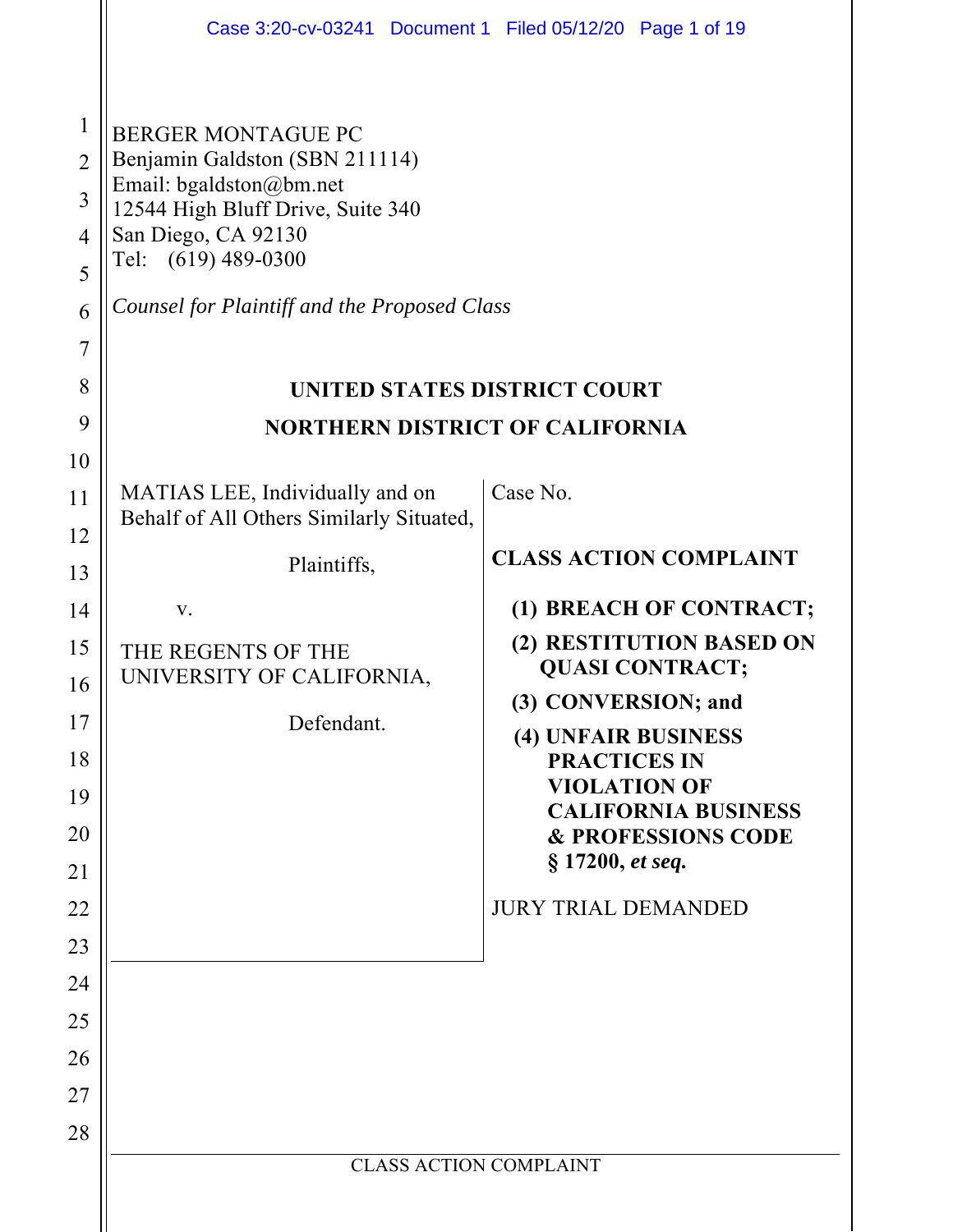|                                                                                  | Case 3:20-cv-03241 Document 1 Filed 05/12/20 Page 1 of 19                                                                                                                                                                 |                                                                                                                                                                                                                                     |  |  |  |  |  |  |  |
|----------------------------------------------------------------------------------|---------------------------------------------------------------------------------------------------------------------------------------------------------------------------------------------------------------------------|-------------------------------------------------------------------------------------------------------------------------------------------------------------------------------------------------------------------------------------|--|--|--|--|--|--|--|
| $\mathbf{1}$<br>$\overline{2}$<br>3<br>$\overline{4}$<br>5<br>6                  | <b>BERGER MONTAGUE PC</b><br>Benjamin Galdston (SBN 211114)<br>Email: bgaldston@bm.net<br>12544 High Bluff Drive, Suite 340<br>San Diego, CA 92130<br>Tel: (619) 489-0300<br>Counsel for Plaintiff and the Proposed Class |                                                                                                                                                                                                                                     |  |  |  |  |  |  |  |
| 7                                                                                |                                                                                                                                                                                                                           |                                                                                                                                                                                                                                     |  |  |  |  |  |  |  |
| 8                                                                                | UNITED STATES DISTRICT COURT                                                                                                                                                                                              |                                                                                                                                                                                                                                     |  |  |  |  |  |  |  |
| 9                                                                                | <b>NORTHERN DISTRICT OF CALIFORNIA</b>                                                                                                                                                                                    |                                                                                                                                                                                                                                     |  |  |  |  |  |  |  |
| 10<br>11<br>12<br>13<br>14                                                       | MATIAS LEE, Individually and on<br>Behalf of All Others Similarly Situated,<br>Plaintiffs,<br>V.                                                                                                                          | Case No.<br><b>CLASS ACTION COMPLAINT</b><br>(1) BREACH OF CONTRACT;<br>(2) RESTITUTION BASED ON                                                                                                                                    |  |  |  |  |  |  |  |
| 15<br>16<br>17<br>18<br>19<br>20<br>21<br>22<br>23<br>24<br>25<br>26<br>27<br>28 | THE REGENTS OF THE<br>UNIVERSITY OF CALIFORNIA,<br>Defendant.                                                                                                                                                             | <b>QUASI CONTRACT;</b><br>(3) CONVERSION; and<br>(4) UNFAIR BUSINESS<br><b>PRACTICES IN</b><br><b>VIOLATION OF</b><br><b>CALIFORNIA BUSINESS</b><br><b>&amp; PROFESSIONS CODE</b><br>§ 17200, et seq.<br><b>JURY TRIAL DEMANDED</b> |  |  |  |  |  |  |  |
|                                                                                  | <b>CLASS ACTION COMPLAINT</b>                                                                                                                                                                                             |                                                                                                                                                                                                                                     |  |  |  |  |  |  |  |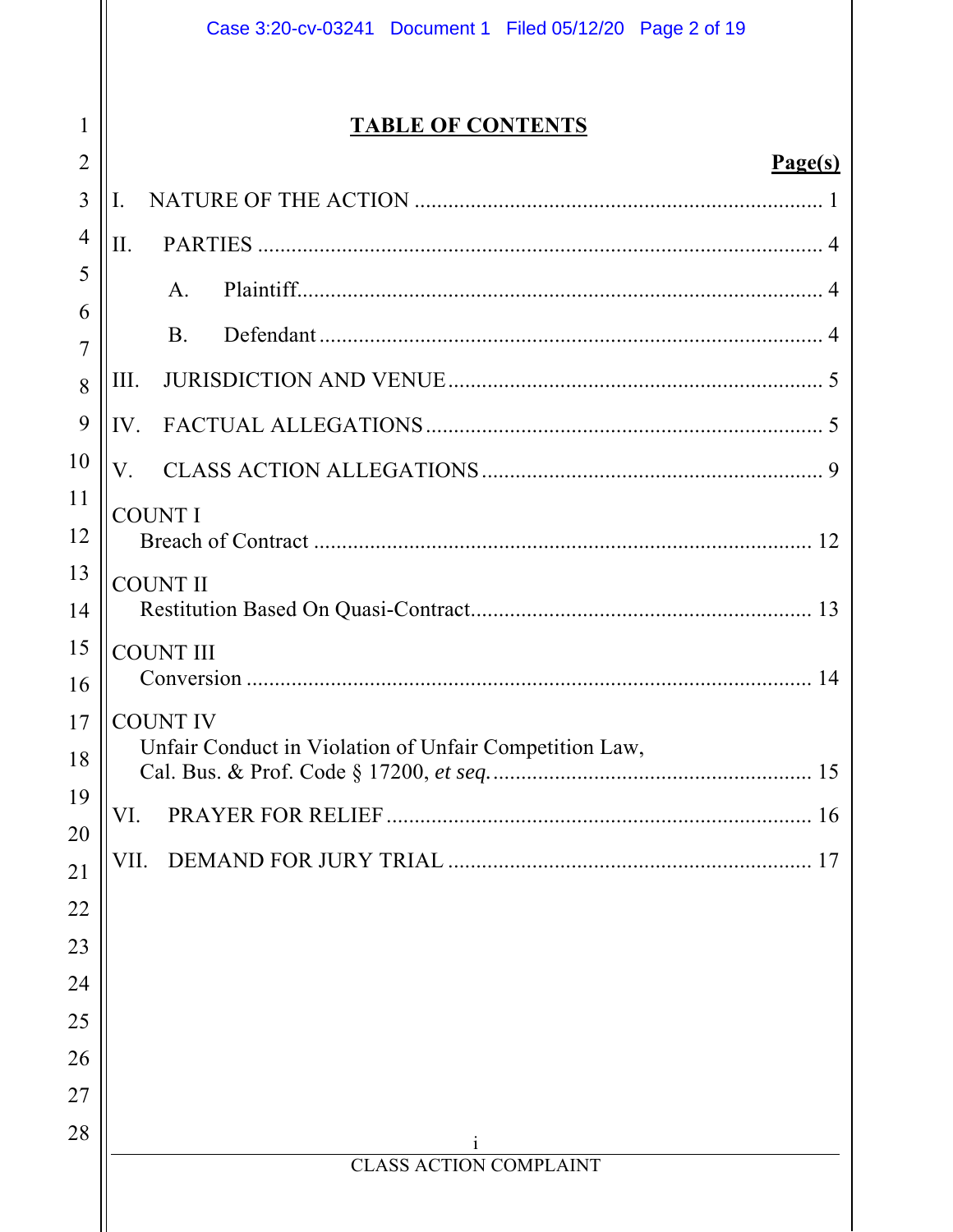## **TABLE OF CONTENTS**

1

 $\overline{2}$ 

| $\overline{3}$ | I.                                                                        |
|----------------|---------------------------------------------------------------------------|
| 4              | II.                                                                       |
| 5              | A.                                                                        |
| 6<br>7         | <b>B.</b>                                                                 |
| 8              | III.                                                                      |
| 9              | IV.                                                                       |
| 10             | V.                                                                        |
| 11<br>12       | <b>COUNT I</b>                                                            |
| 13             | <b>COUNT II</b>                                                           |
| 14             |                                                                           |
| 15<br>16       | <b>COUNT III</b>                                                          |
| 17<br>18       | <b>COUNT IV</b><br>Unfair Conduct in Violation of Unfair Competition Law, |
| 19             | VI.                                                                       |
| 20<br>21       |                                                                           |
| 22             |                                                                           |
| 23             |                                                                           |
| 24             |                                                                           |
| 25             |                                                                           |
| 26             |                                                                           |
| 27             |                                                                           |
| 28             | <b>CLASS ACTION COMPLAINT</b>                                             |
|                |                                                                           |
|                |                                                                           |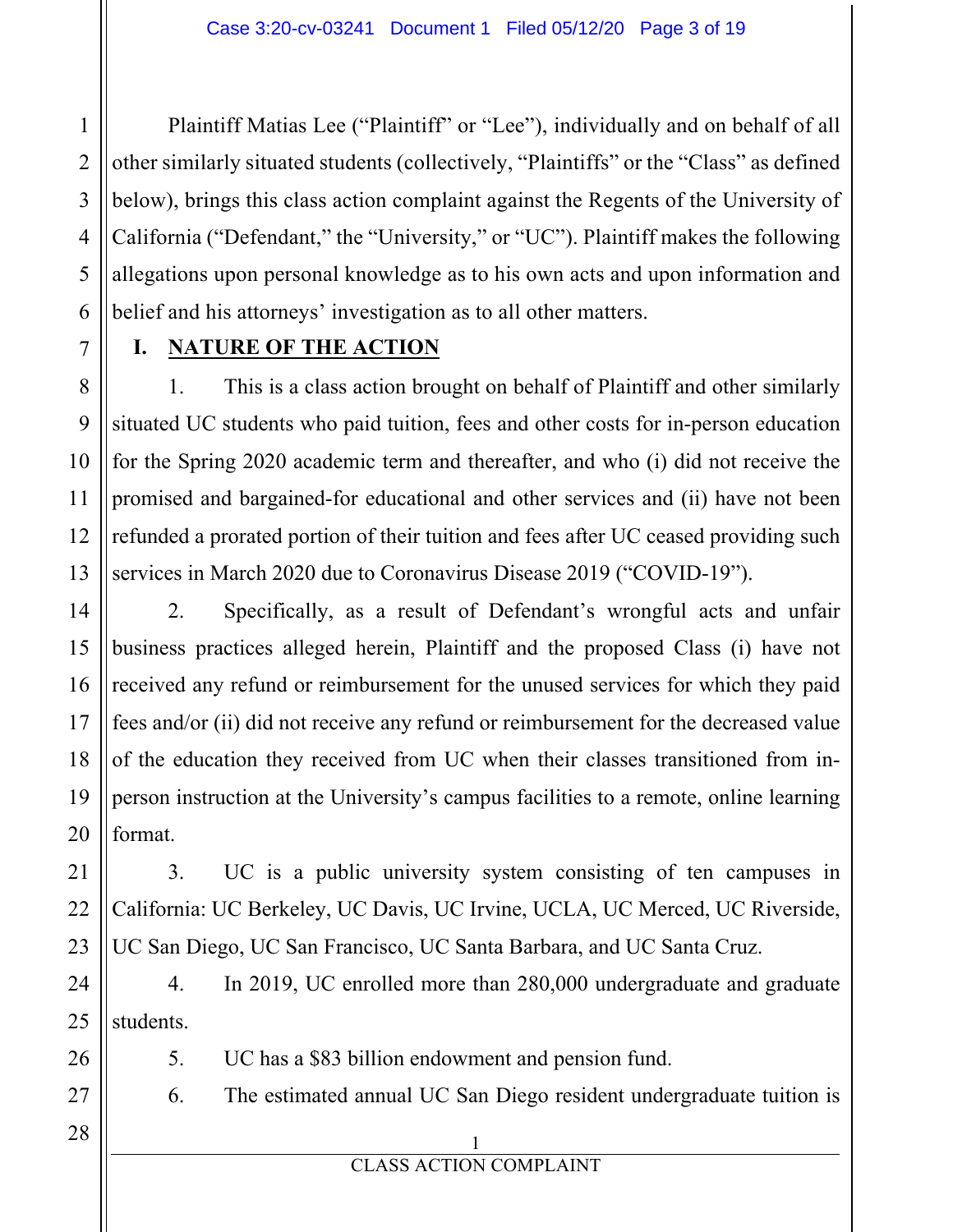Plaintiff Matias Lee ("Plaintiff" or "Lee"), individually and on behalf of all other similarly situated students (collectively, "Plaintiffs" or the "Class" as defined below), brings this class action complaint against the Regents of the University of California ("Defendant," the "University," or "UC"). Plaintiff makes the following allegations upon personal knowledge as to his own acts and upon information and belief and his attorneys' investigation as to all other matters.

### **I. NATURE OF THE ACTION**

1. This is a class action brought on behalf of Plaintiff and other similarly situated UC students who paid tuition, fees and other costs for in-person education for the Spring 2020 academic term and thereafter, and who (i) did not receive the promised and bargained-for educational and other services and (ii) have not been refunded a prorated portion of their tuition and fees after UC ceased providing such services in March 2020 due to Coronavirus Disease 2019 ("COVID-19").

2. Specifically, as a result of Defendant's wrongful acts and unfair business practices alleged herein, Plaintiff and the proposed Class (i) have not received any refund or reimbursement for the unused services for which they paid fees and/or (ii) did not receive any refund or reimbursement for the decreased value of the education they received from UC when their classes transitioned from inperson instruction at the University's campus facilities to a remote, online learning format.

3. UC is a public university system consisting of ten campuses in California: UC Berkeley, UC Davis, UC Irvine, UCLA, UC Merced, UC Riverside, UC San Diego, UC San Francisco, UC Santa Barbara, and UC Santa Cruz.

4. In 2019, UC enrolled more than 280,000 undergraduate and graduate students.

5. UC has a \$83 billion endowment and pension fund.

6. The estimated annual UC San Diego resident undergraduate tuition is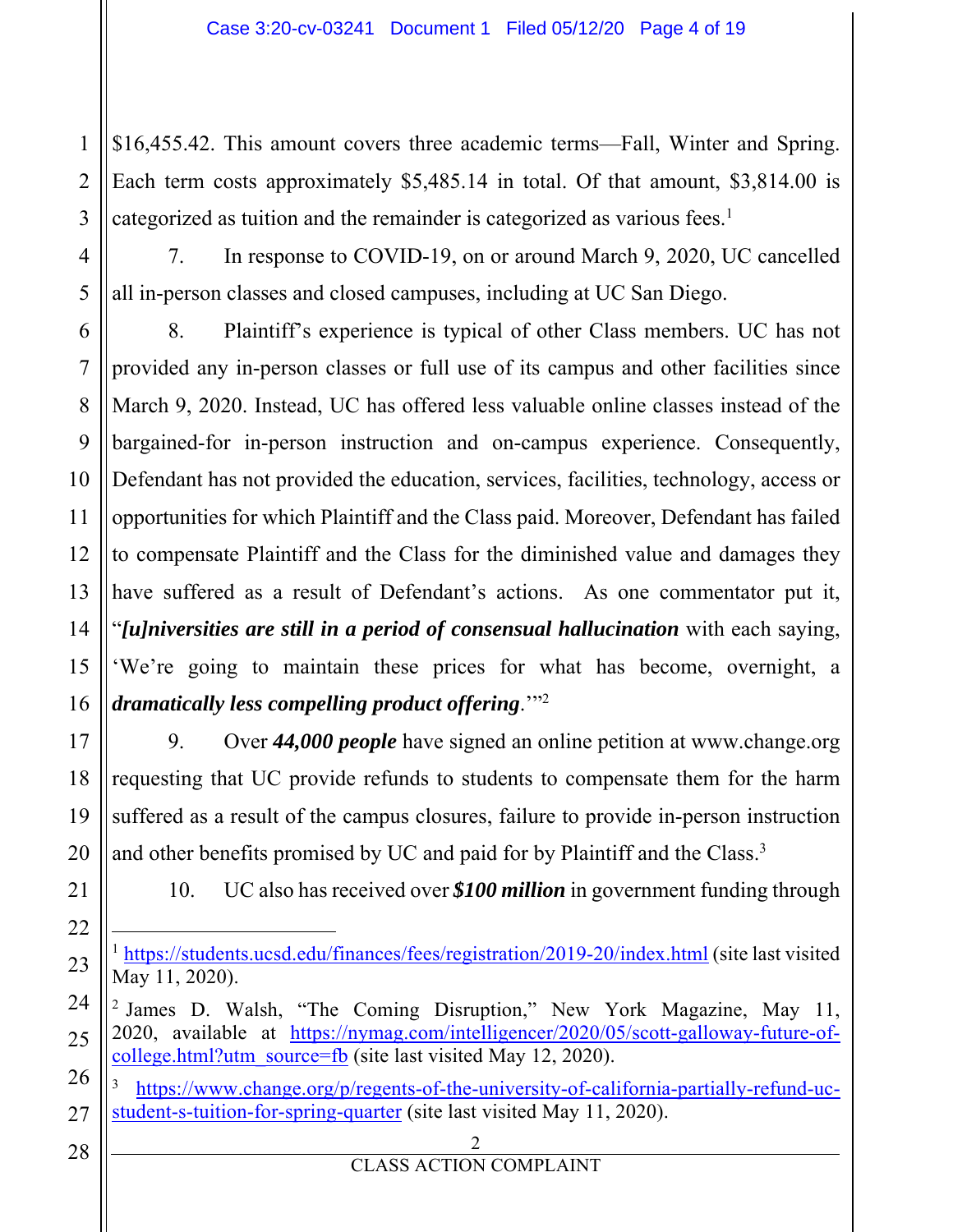\$16,455.42. This amount covers three academic terms—Fall, Winter and Spring. Each term costs approximately \$5,485.14 in total. Of that amount, \$3,814.00 is categorized as tuition and the remainder is categorized as various fees. $<sup>1</sup>$ </sup>

7. In response to COVID-19, on or around March 9, 2020, UC cancelled all in-person classes and closed campuses, including at UC San Diego.

9 10 14 16 8. Plaintiff's experience is typical of other Class members. UC has not provided any in-person classes or full use of its campus and other facilities since March 9, 2020. Instead, UC has offered less valuable online classes instead of the bargained-for in-person instruction and on-campus experience. Consequently, Defendant has not provided the education, services, facilities, technology, access or opportunities for which Plaintiff and the Class paid. Moreover, Defendant has failed to compensate Plaintiff and the Class for the diminished value and damages they have suffered as a result of Defendant's actions. As one commentator put it, "*[u]niversities are still in a period of consensual hallucination* with each saying, 'We're going to maintain these prices for what has become, overnight, a *dramatically less compelling product offering*.'"2

9. Over *44,000 people* have signed an online petition at www.change.org requesting that UC provide refunds to students to compensate them for the harm suffered as a result of the campus closures, failure to provide in-person instruction and other benefits promised by UC and paid for by Plaintiff and the Class.<sup>3</sup>

1

2

3

4

5

6

7

8

11

12

13

15

17

18

19

20

21

22

23

24

25

26

27

10. UC also has received over *\$100 million* in government funding through

<sup>1</sup> https://students.ucsd.edu/finances/fees/registration/2019-20/index.html (site last visited May 11, 2020).

<sup>2</sup> James D. Walsh, "The Coming Disruption," New York Magazine, May 11, 2020, available at https://nymag.com/intelligencer/2020/05/scott-galloway-future-ofcollege.html?utm\_source=fb (site last visited May 12, 2020).

- <sup>3</sup> https://www.change.org/p/regents-of-the-university-of-california-partially-refund-ucstudent-s-tuition-for-spring-quarter (site last visited May 11, 2020).
- 28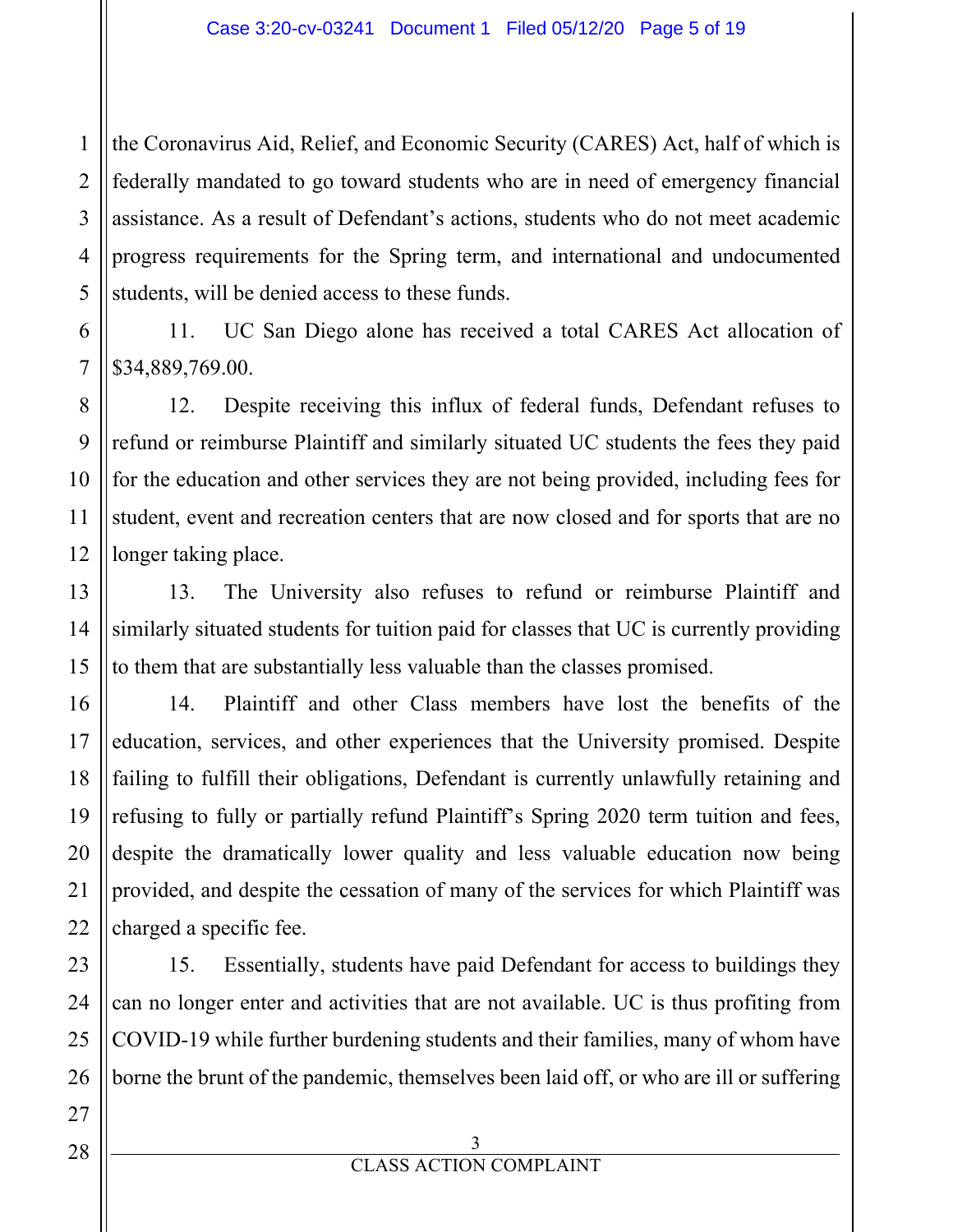1 2 the Coronavirus Aid, Relief, and Economic Security (CARES) Act, half of which is federally mandated to go toward students who are in need of emergency financial assistance. As a result of Defendant's actions, students who do not meet academic progress requirements for the Spring term, and international and undocumented students, will be denied access to these funds.

11. UC San Diego alone has received a total CARES Act allocation of \$34,889,769.00.

12. Despite receiving this influx of federal funds, Defendant refuses to refund or reimburse Plaintiff and similarly situated UC students the fees they paid for the education and other services they are not being provided, including fees for student, event and recreation centers that are now closed and for sports that are no longer taking place.

13. The University also refuses to refund or reimburse Plaintiff and similarly situated students for tuition paid for classes that UC is currently providing to them that are substantially less valuable than the classes promised.

14. Plaintiff and other Class members have lost the benefits of the education, services, and other experiences that the University promised. Despite failing to fulfill their obligations, Defendant is currently unlawfully retaining and refusing to fully or partially refund Plaintiff's Spring 2020 term tuition and fees, despite the dramatically lower quality and less valuable education now being provided, and despite the cessation of many of the services for which Plaintiff was charged a specific fee.

15. Essentially, students have paid Defendant for access to buildings they can no longer enter and activities that are not available. UC is thus profiting from COVID-19 while further burdening students and their families, many of whom have borne the brunt of the pandemic, themselves been laid off, or who are ill or suffering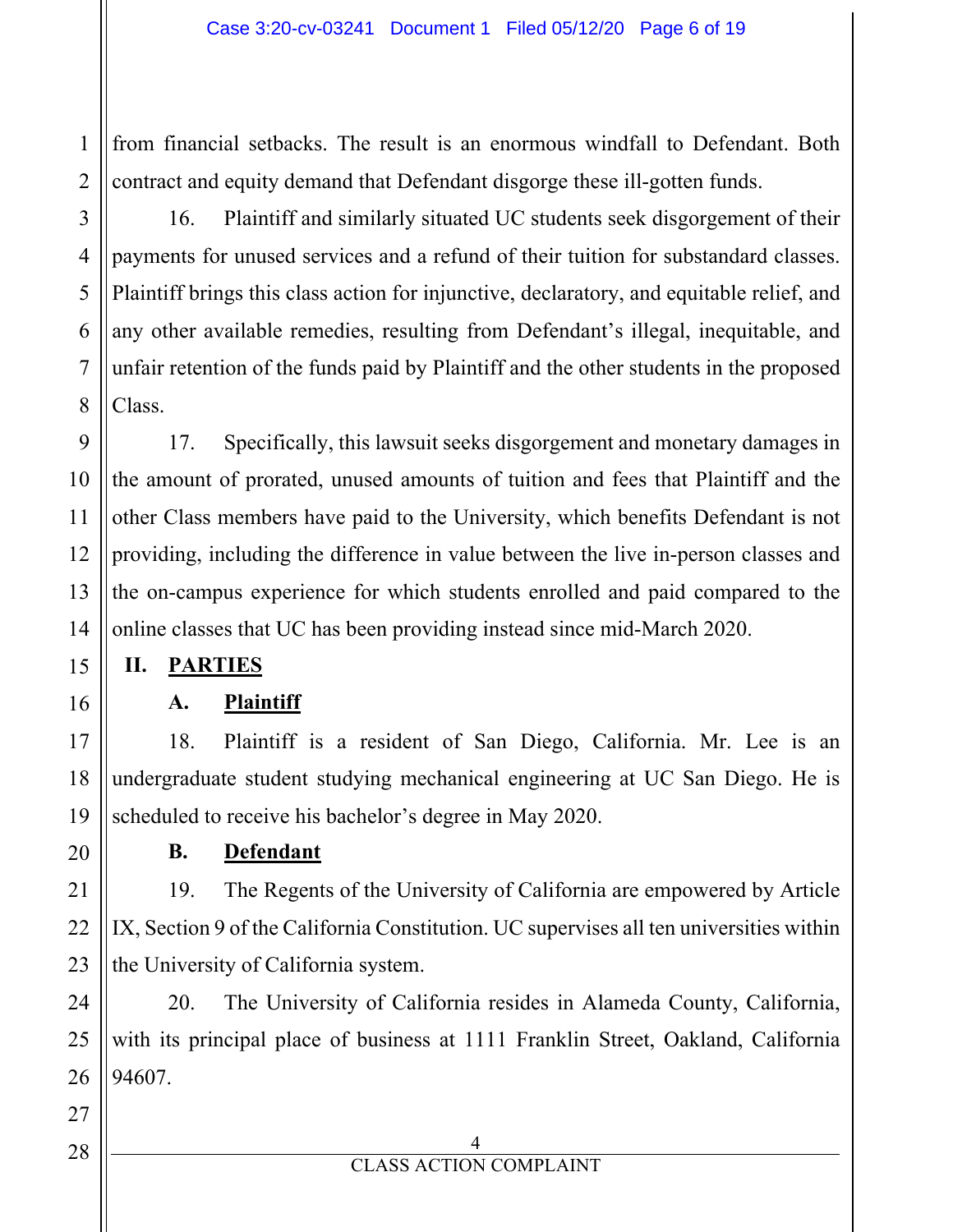1 2 from financial setbacks. The result is an enormous windfall to Defendant. Both contract and equity demand that Defendant disgorge these ill-gotten funds.

16. Plaintiff and similarly situated UC students seek disgorgement of their payments for unused services and a refund of their tuition for substandard classes. Plaintiff brings this class action for injunctive, declaratory, and equitable relief, and any other available remedies, resulting from Defendant's illegal, inequitable, and unfair retention of the funds paid by Plaintiff and the other students in the proposed Class.

17. Specifically, this lawsuit seeks disgorgement and monetary damages in the amount of prorated, unused amounts of tuition and fees that Plaintiff and the other Class members have paid to the University, which benefits Defendant is not providing, including the difference in value between the live in-person classes and the on-campus experience for which students enrolled and paid compared to the online classes that UC has been providing instead since mid-March 2020.

#### **II. PARTIES**

#### **A. Plaintiff**

18. Plaintiff is a resident of San Diego, California. Mr. Lee is an undergraduate student studying mechanical engineering at UC San Diego. He is scheduled to receive his bachelor's degree in May 2020.

**B. Defendant** 

19. The Regents of the University of California are empowered by Article IX, Section 9 of the California Constitution. UC supervises all ten universities within the University of California system.

20. The University of California resides in Alameda County, California, with its principal place of business at 1111 Franklin Street, Oakland, California 94607.

28

3

4

5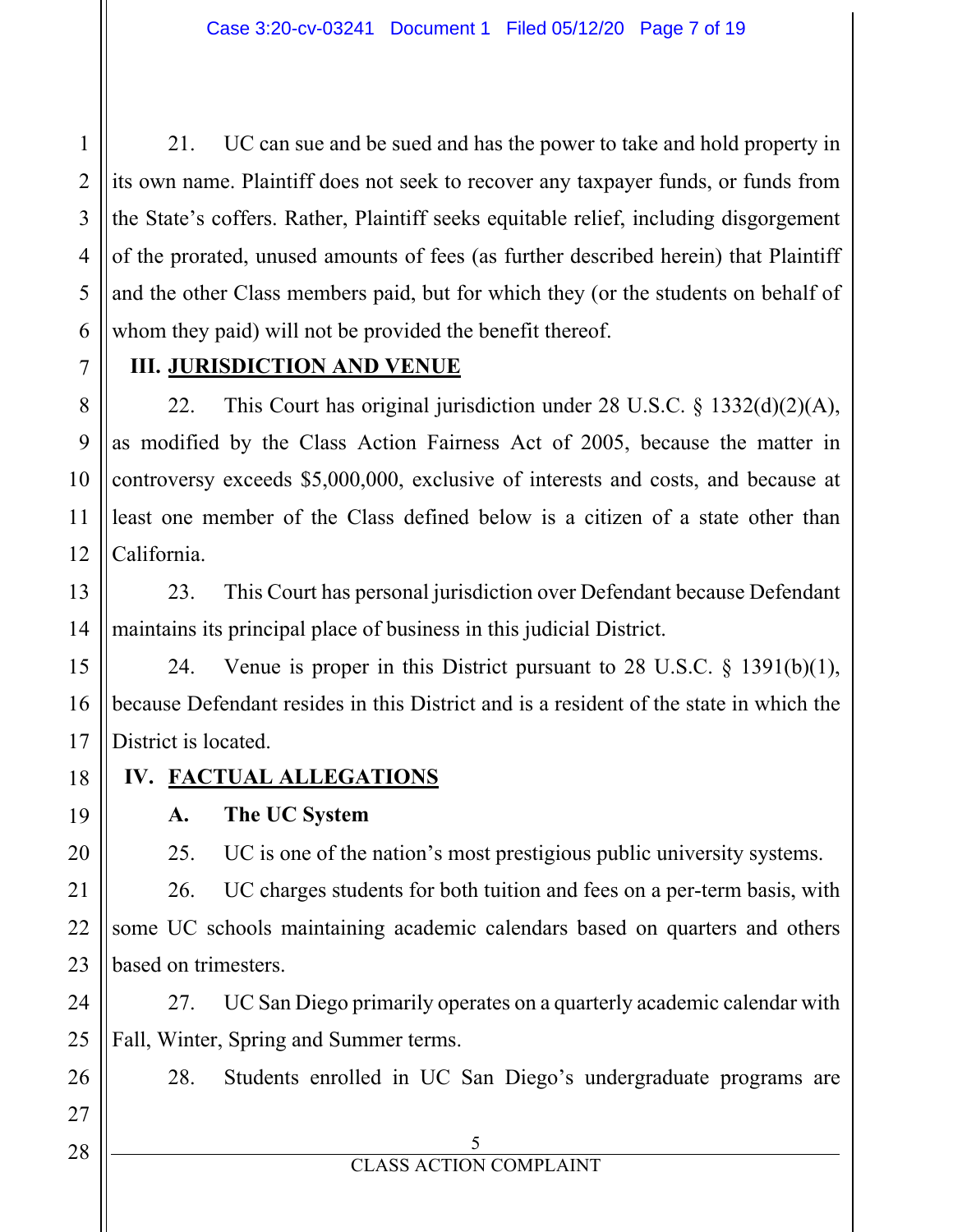3 21. UC can sue and be sued and has the power to take and hold property in its own name. Plaintiff does not seek to recover any taxpayer funds, or funds from the State's coffers. Rather, Plaintiff seeks equitable relief, including disgorgement of the prorated, unused amounts of fees (as further described herein) that Plaintiff and the other Class members paid, but for which they (or the students on behalf of whom they paid) will not be provided the benefit thereof.

#### **III. JURISDICTION AND VENUE**

22. This Court has original jurisdiction under 28 U.S.C. § 1332(d)(2)(A), as modified by the Class Action Fairness Act of 2005, because the matter in controversy exceeds \$5,000,000, exclusive of interests and costs, and because at least one member of the Class defined below is a citizen of a state other than California.

23. This Court has personal jurisdiction over Defendant because Defendant maintains its principal place of business in this judicial District.

24. Venue is proper in this District pursuant to 28 U.S.C. § 1391(b)(1), because Defendant resides in this District and is a resident of the state in which the District is located.

#### **IV. FACTUAL ALLEGATIONS**

**A. The UC System** 

25. UC is one of the nation's most prestigious public university systems.

26. UC charges students for both tuition and fees on a per-term basis, with some UC schools maintaining academic calendars based on quarters and others based on trimesters.

27. UC San Diego primarily operates on a quarterly academic calendar with Fall, Winter, Spring and Summer terms.

28. Students enrolled in UC San Diego's undergraduate programs are

5

27

28

1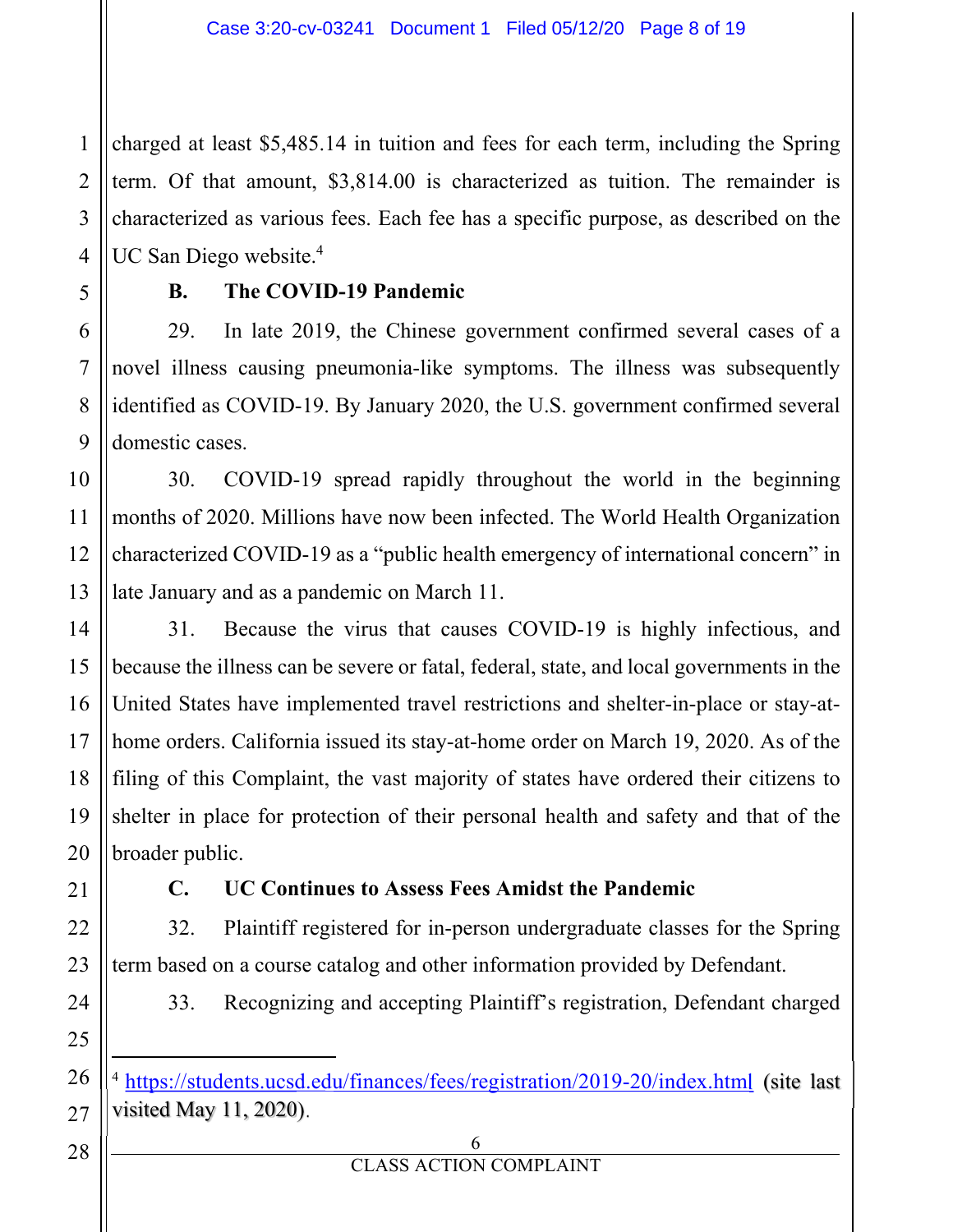1  $\mathfrak{D}$ 3 4 charged at least \$5,485.14 in tuition and fees for each term, including the Spring term. Of that amount, \$3,814.00 is characterized as tuition. The remainder is characterized as various fees. Each fee has a specific purpose, as described on the UC San Diego website.<sup>4</sup>

5

#### **B. The COVID-19 Pandemic**

29. In late 2019, the Chinese government confirmed several cases of a novel illness causing pneumonia-like symptoms. The illness was subsequently identified as COVID-19. By January 2020, the U.S. government confirmed several domestic cases.

30. COVID-19 spread rapidly throughout the world in the beginning months of 2020. Millions have now been infected. The World Health Organization characterized COVID-19 as a "public health emergency of international concern" in late January and as a pandemic on March 11.

31. Because the virus that causes COVID-19 is highly infectious, and because the illness can be severe or fatal, federal, state, and local governments in the United States have implemented travel restrictions and shelter-in-place or stay-athome orders. California issued its stay-at-home order on March 19, 2020. As of the filing of this Complaint, the vast majority of states have ordered their citizens to shelter in place for protection of their personal health and safety and that of the broader public.

#### **C. UC Continues to Assess Fees Amidst the Pandemic**

32. Plaintiff registered for in-person undergraduate classes for the Spring term based on a course catalog and other information provided by Defendant.

- 33. Recognizing and accepting Plaintiff's registration, Defendant charged
- <sup>4</sup> https://students.ucsd.edu/finances/fees/registration/2019-20/index.html (site last visited May 11, 2020).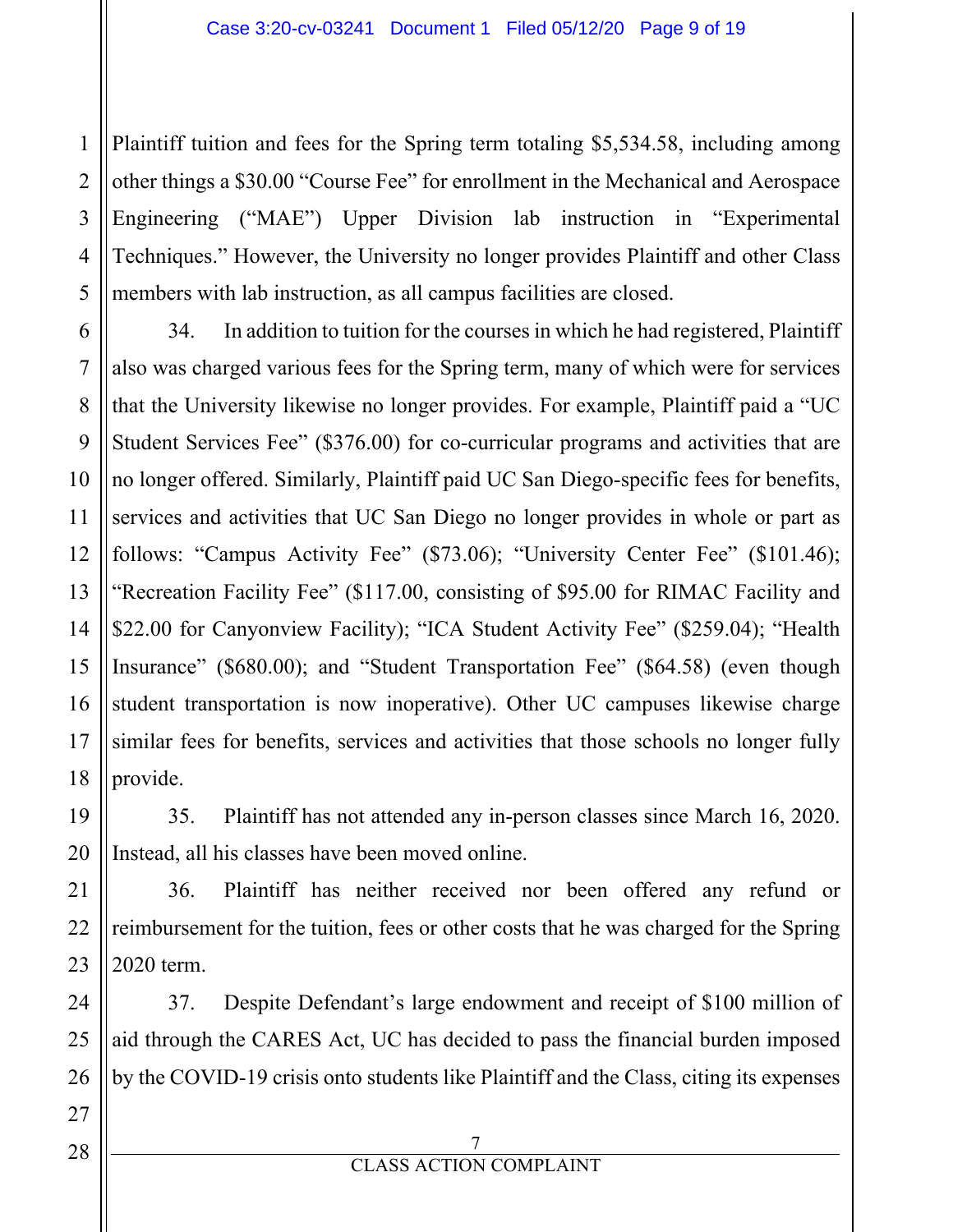1 2 3 4 5 Plaintiff tuition and fees for the Spring term totaling \$5,534.58, including among other things a \$30.00 "Course Fee" for enrollment in the Mechanical and Aerospace Engineering ("MAE") Upper Division lab instruction in "Experimental Techniques." However, the University no longer provides Plaintiff and other Class members with lab instruction, as all campus facilities are closed.

6 7 8 34. In addition to tuition for the courses in which he had registered, Plaintiff also was charged various fees for the Spring term, many of which were for services that the University likewise no longer provides. For example, Plaintiff paid a "UC Student Services Fee" (\$376.00) for co-curricular programs and activities that are no longer offered. Similarly, Plaintiff paid UC San Diego-specific fees for benefits, services and activities that UC San Diego no longer provides in whole or part as follows: "Campus Activity Fee" (\$73.06); "University Center Fee" (\$101.46); "Recreation Facility Fee" (\$117.00, consisting of \$95.00 for RIMAC Facility and \$22.00 for Canyonview Facility); "ICA Student Activity Fee" (\$259.04); "Health Insurance" (\$680.00); and "Student Transportation Fee" (\$64.58) (even though student transportation is now inoperative). Other UC campuses likewise charge similar fees for benefits, services and activities that those schools no longer fully provide.

35. Plaintiff has not attended any in-person classes since March 16, 2020. Instead, all his classes have been moved online.

36. Plaintiff has neither received nor been offered any refund or reimbursement for the tuition, fees or other costs that he was charged for the Spring 2020 term.

37. Despite Defendant's large endowment and receipt of \$100 million of aid through the CARES Act, UC has decided to pass the financial burden imposed by the COVID-19 crisis onto students like Plaintiff and the Class, citing its expenses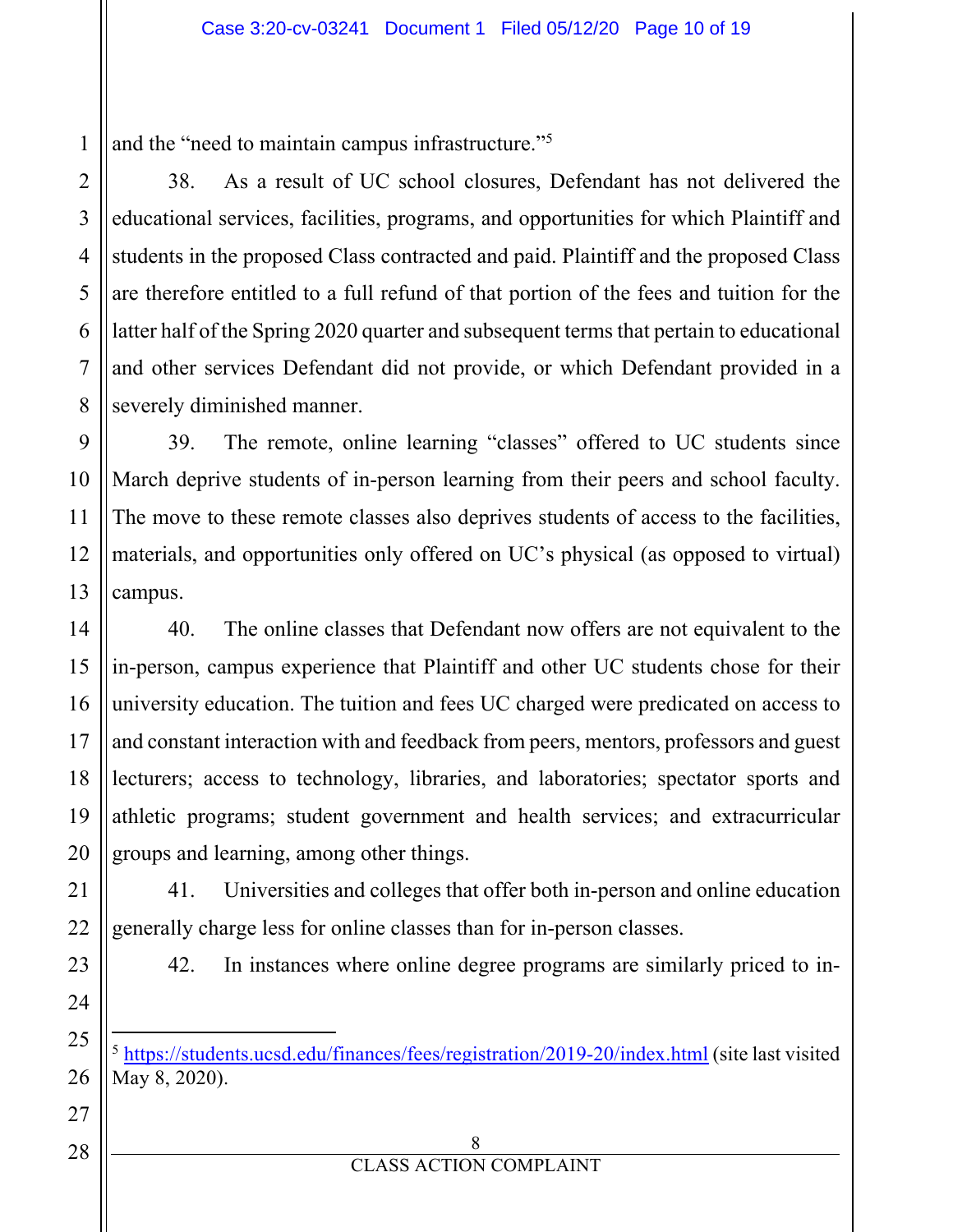1 and the "need to maintain campus infrastructure."5

38. As a result of UC school closures, Defendant has not delivered the educational services, facilities, programs, and opportunities for which Plaintiff and students in the proposed Class contracted and paid. Plaintiff and the proposed Class are therefore entitled to a full refund of that portion of the fees and tuition for the latter half of the Spring 2020 quarter and subsequent terms that pertain to educational and other services Defendant did not provide, or which Defendant provided in a severely diminished manner.

39. The remote, online learning "classes" offered to UC students since March deprive students of in-person learning from their peers and school faculty. The move to these remote classes also deprives students of access to the facilities, materials, and opportunities only offered on UC's physical (as opposed to virtual) campus.

40. The online classes that Defendant now offers are not equivalent to the in-person, campus experience that Plaintiff and other UC students chose for their university education. The tuition and fees UC charged were predicated on access to and constant interaction with and feedback from peers, mentors, professors and guest lecturers; access to technology, libraries, and laboratories; spectator sports and athletic programs; student government and health services; and extracurricular groups and learning, among other things.

41. Universities and colleges that offer both in-person and online education generally charge less for online classes than for in-person classes.

42. In instances where online degree programs are similarly priced to in-

<sup>5</sup> https://students.ucsd.edu/finances/fees/registration/2019-20/index.html (site last visited May 8, 2020).

> 8 CLASS ACTION COMPLAINT

2

3

4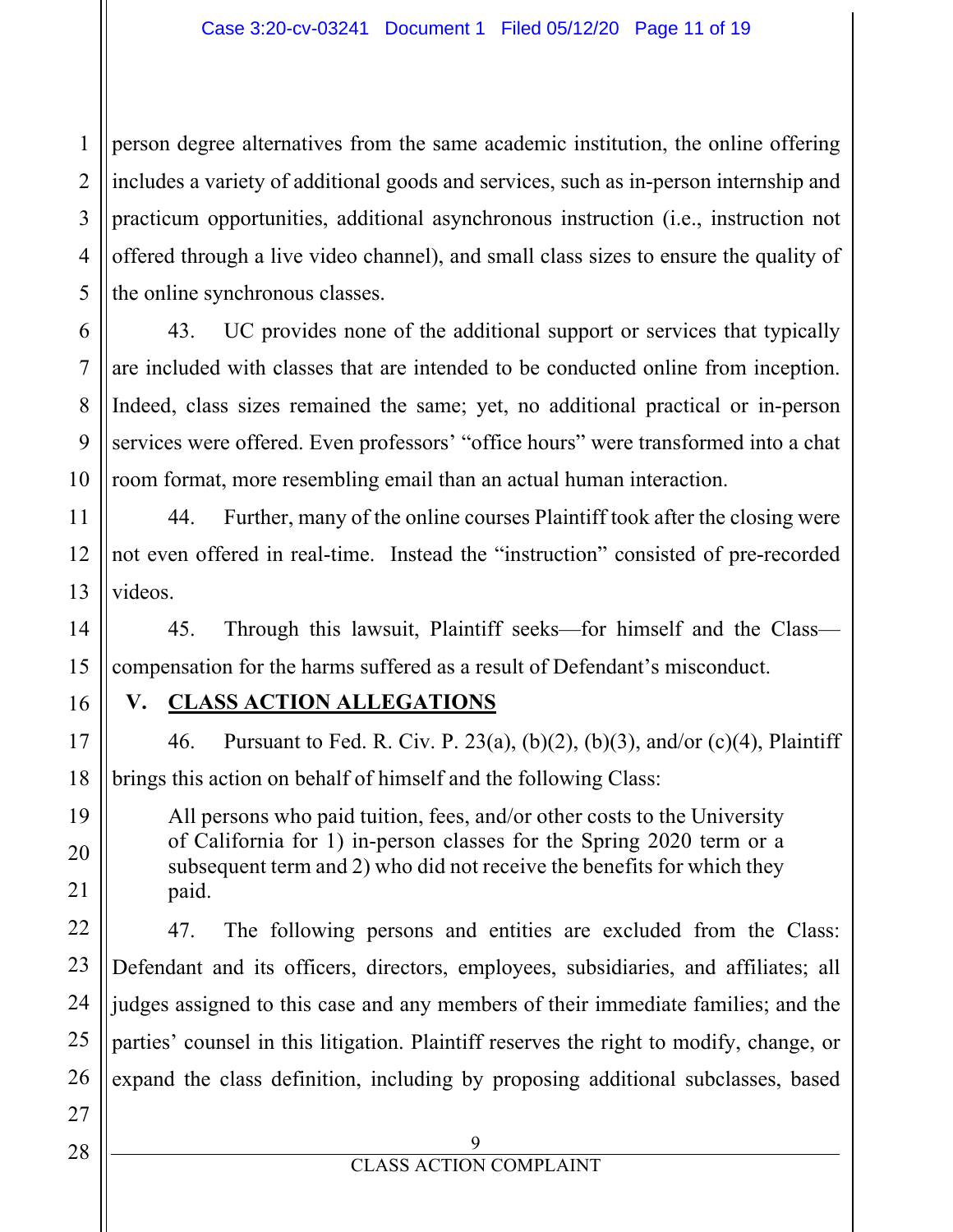1 2 3 4 5 person degree alternatives from the same academic institution, the online offering includes a variety of additional goods and services, such as in-person internship and practicum opportunities, additional asynchronous instruction (i.e., instruction not offered through a live video channel), and small class sizes to ensure the quality of the online synchronous classes.

43. UC provides none of the additional support or services that typically are included with classes that are intended to be conducted online from inception. Indeed, class sizes remained the same; yet, no additional practical or in-person services were offered. Even professors' "office hours" were transformed into a chat room format, more resembling email than an actual human interaction.

44. Further, many of the online courses Plaintiff took after the closing were not even offered in real-time. Instead the "instruction" consisted of pre-recorded videos.

45. Through this lawsuit, Plaintiff seeks—for himself and the Class compensation for the harms suffered as a result of Defendant's misconduct.

6

7

8

#### **V. CLASS ACTION ALLEGATIONS**

46. Pursuant to Fed. R. Civ. P. 23(a), (b)(2), (b)(3), and/or (c)(4), Plaintiff brings this action on behalf of himself and the following Class:

All persons who paid tuition, fees, and/or other costs to the University of California for 1) in-person classes for the Spring 2020 term or a subsequent term and 2) who did not receive the benefits for which they paid.

47. The following persons and entities are excluded from the Class: Defendant and its officers, directors, employees, subsidiaries, and affiliates; all judges assigned to this case and any members of their immediate families; and the parties' counsel in this litigation. Plaintiff reserves the right to modify, change, or expand the class definition, including by proposing additional subclasses, based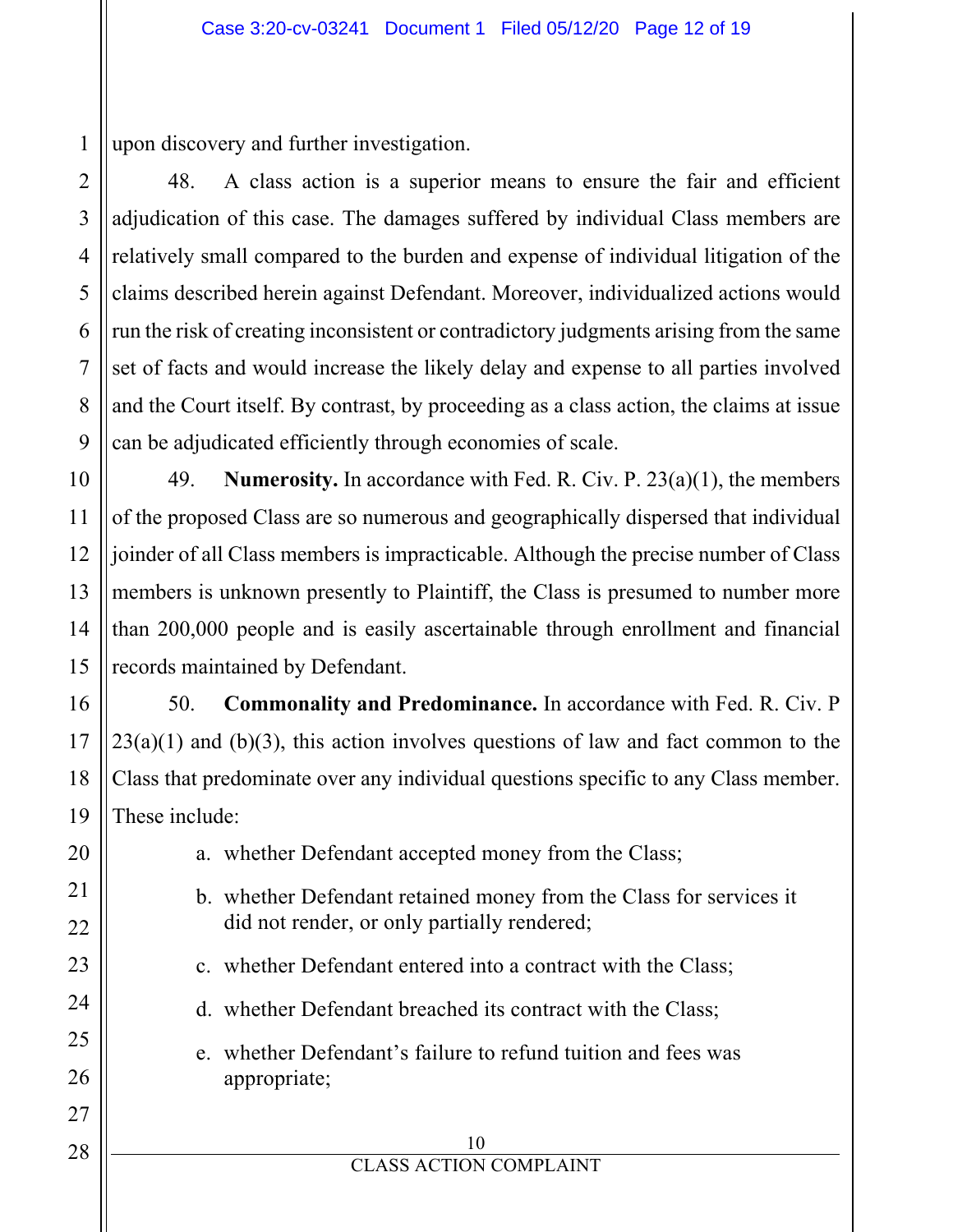1 upon discovery and further investigation.

48. A class action is a superior means to ensure the fair and efficient adjudication of this case. The damages suffered by individual Class members are relatively small compared to the burden and expense of individual litigation of the claims described herein against Defendant. Moreover, individualized actions would run the risk of creating inconsistent or contradictory judgments arising from the same set of facts and would increase the likely delay and expense to all parties involved and the Court itself. By contrast, by proceeding as a class action, the claims at issue can be adjudicated efficiently through economies of scale.

49. **Numerosity.** In accordance with Fed. R. Civ. P. 23(a)(1), the members of the proposed Class are so numerous and geographically dispersed that individual joinder of all Class members is impracticable. Although the precise number of Class members is unknown presently to Plaintiff, the Class is presumed to number more than 200,000 people and is easily ascertainable through enrollment and financial records maintained by Defendant.

50. **Commonality and Predominance.** In accordance with Fed. R. Civ. P  $23(a)(1)$  and (b)(3), this action involves questions of law and fact common to the Class that predominate over any individual questions specific to any Class member. These include:

a. whether Defendant accepted money from the Class;

- b. whether Defendant retained money from the Class for services it did not render, or only partially rendered;
- c. whether Defendant entered into a contract with the Class;
- d. whether Defendant breached its contract with the Class;
- e. whether Defendant's failure to refund tuition and fees was appropriate;

2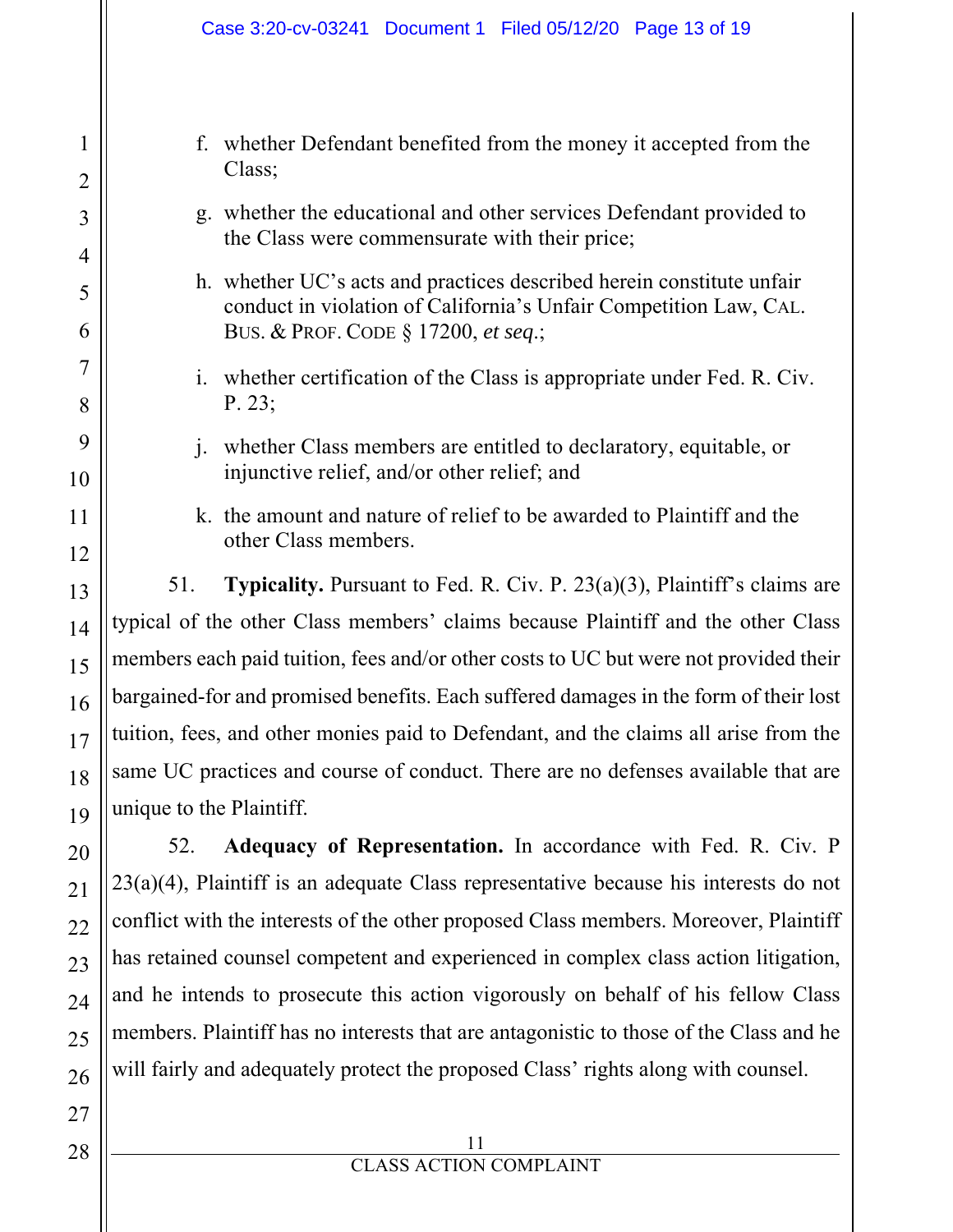|                                  | Case 3:20-cv-03241 Document 1 Filed 05/12/20 Page 13 of 19                                                                                 |  |  |  |  |  |
|----------------------------------|--------------------------------------------------------------------------------------------------------------------------------------------|--|--|--|--|--|
|                                  |                                                                                                                                            |  |  |  |  |  |
| 1                                | whether Defendant benefited from the money it accepted from the<br>f.<br>Class;                                                            |  |  |  |  |  |
| $\overline{2}$<br>$\overline{3}$ | g. whether the educational and other services Defendant provided to<br>the Class were commensurate with their price;                       |  |  |  |  |  |
| 4<br>5                           | h. whether UC's acts and practices described herein constitute unfair<br>conduct in violation of California's Unfair Competition Law, CAL. |  |  |  |  |  |
| 6                                | BUS. & PROF. CODE § 17200, et seq.;                                                                                                        |  |  |  |  |  |
| 7<br>8                           | whether certification of the Class is appropriate under Fed. R. Civ.<br>$\mathbf{i}$ .<br>P. 23;                                           |  |  |  |  |  |
| 9<br>10                          | whether Class members are entitled to declaratory, equitable, or<br>injunctive relief, and/or other relief; and                            |  |  |  |  |  |
| 11<br>12                         | k. the amount and nature of relief to be awarded to Plaintiff and the<br>other Class members.                                              |  |  |  |  |  |
| 13                               | <b>Typicality.</b> Pursuant to Fed. R. Civ. P. $23(a)(3)$ , Plaintiff's claims are<br>51.                                                  |  |  |  |  |  |
| 14                               | typical of the other Class members' claims because Plaintiff and the other Class                                                           |  |  |  |  |  |
| 15                               | members each paid tuition, fees and/or other costs to UC but were not provided their                                                       |  |  |  |  |  |
| 16                               | bargained-for and promised benefits. Each suffered damages in the form of their lost                                                       |  |  |  |  |  |
| 17                               | tuition, fees, and other monies paid to Defendant, and the claims all arise from the                                                       |  |  |  |  |  |
| 18                               | same UC practices and course of conduct. There are no defenses available that are                                                          |  |  |  |  |  |
| 19                               | unique to the Plaintiff.                                                                                                                   |  |  |  |  |  |
| 20                               | Adequacy of Representation. In accordance with Fed. R. Civ. P<br>52.                                                                       |  |  |  |  |  |
| 21                               | $23(a)(4)$ , Plaintiff is an adequate Class representative because his interests do not                                                    |  |  |  |  |  |
| 22                               | conflict with the interests of the other proposed Class members. Moreover, Plaintiff                                                       |  |  |  |  |  |
| 23                               | has retained counsel competent and experienced in complex class action litigation,                                                         |  |  |  |  |  |
| 24                               | and he intends to prosecute this action vigorously on behalf of his fellow Class                                                           |  |  |  |  |  |
| 25                               | members. Plaintiff has no interests that are antagonistic to those of the Class and he                                                     |  |  |  |  |  |
| 26                               | will fairly and adequately protect the proposed Class' rights along with counsel.                                                          |  |  |  |  |  |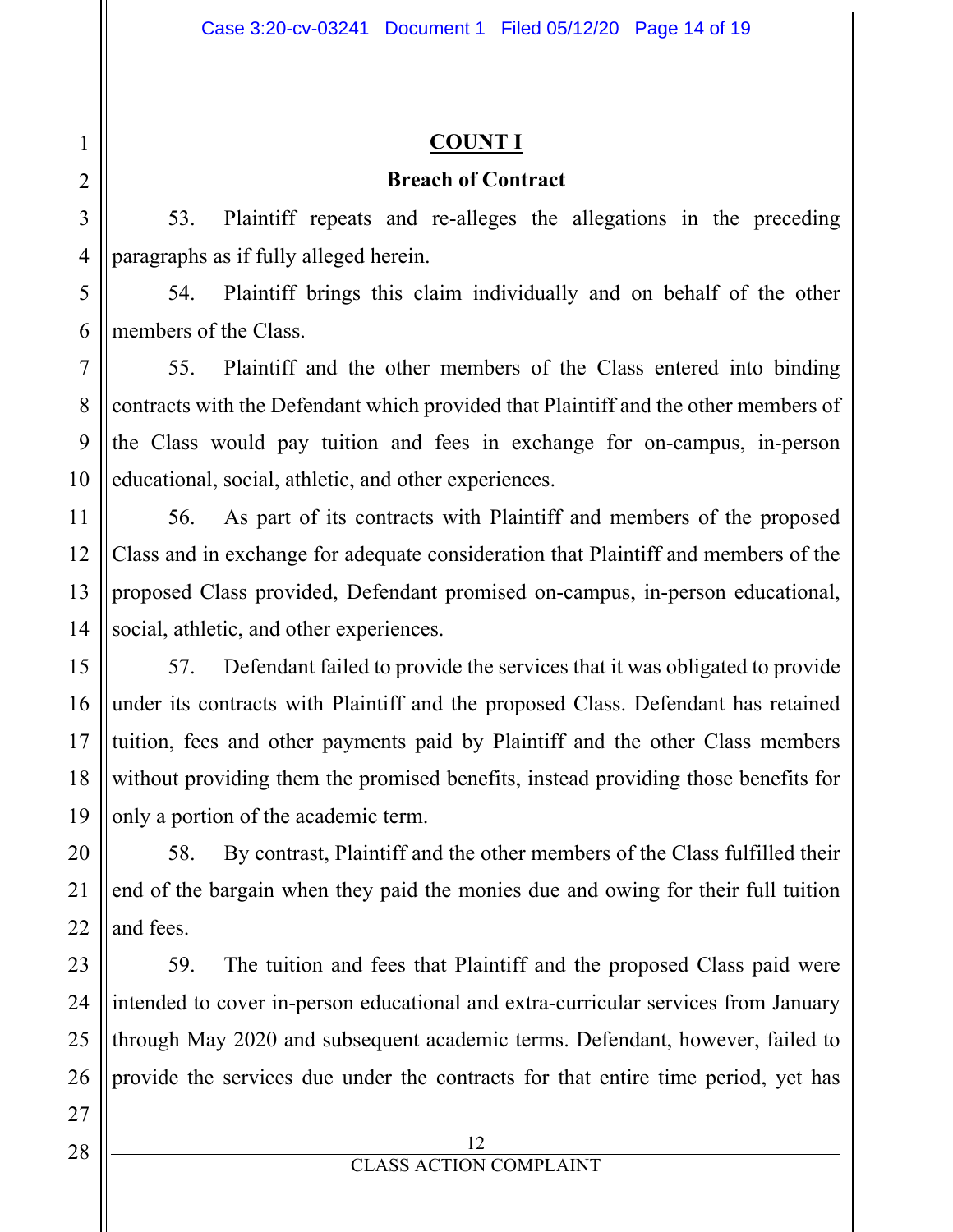#### **COUNT I**

#### **Breach of Contract**

53. Plaintiff repeats and re-alleges the allegations in the preceding paragraphs as if fully alleged herein.

54. Plaintiff brings this claim individually and on behalf of the other members of the Class.

55. Plaintiff and the other members of the Class entered into binding contracts with the Defendant which provided that Plaintiff and the other members of the Class would pay tuition and fees in exchange for on-campus, in-person educational, social, athletic, and other experiences.

56. As part of its contracts with Plaintiff and members of the proposed Class and in exchange for adequate consideration that Plaintiff and members of the proposed Class provided, Defendant promised on-campus, in-person educational, social, athletic, and other experiences.

57. Defendant failed to provide the services that it was obligated to provide under its contracts with Plaintiff and the proposed Class. Defendant has retained tuition, fees and other payments paid by Plaintiff and the other Class members without providing them the promised benefits, instead providing those benefits for only a portion of the academic term.

58. By contrast, Plaintiff and the other members of the Class fulfilled their end of the bargain when they paid the monies due and owing for their full tuition and fees.

59. The tuition and fees that Plaintiff and the proposed Class paid were intended to cover in-person educational and extra-curricular services from January through May 2020 and subsequent academic terms. Defendant, however, failed to provide the services due under the contracts for that entire time period, yet has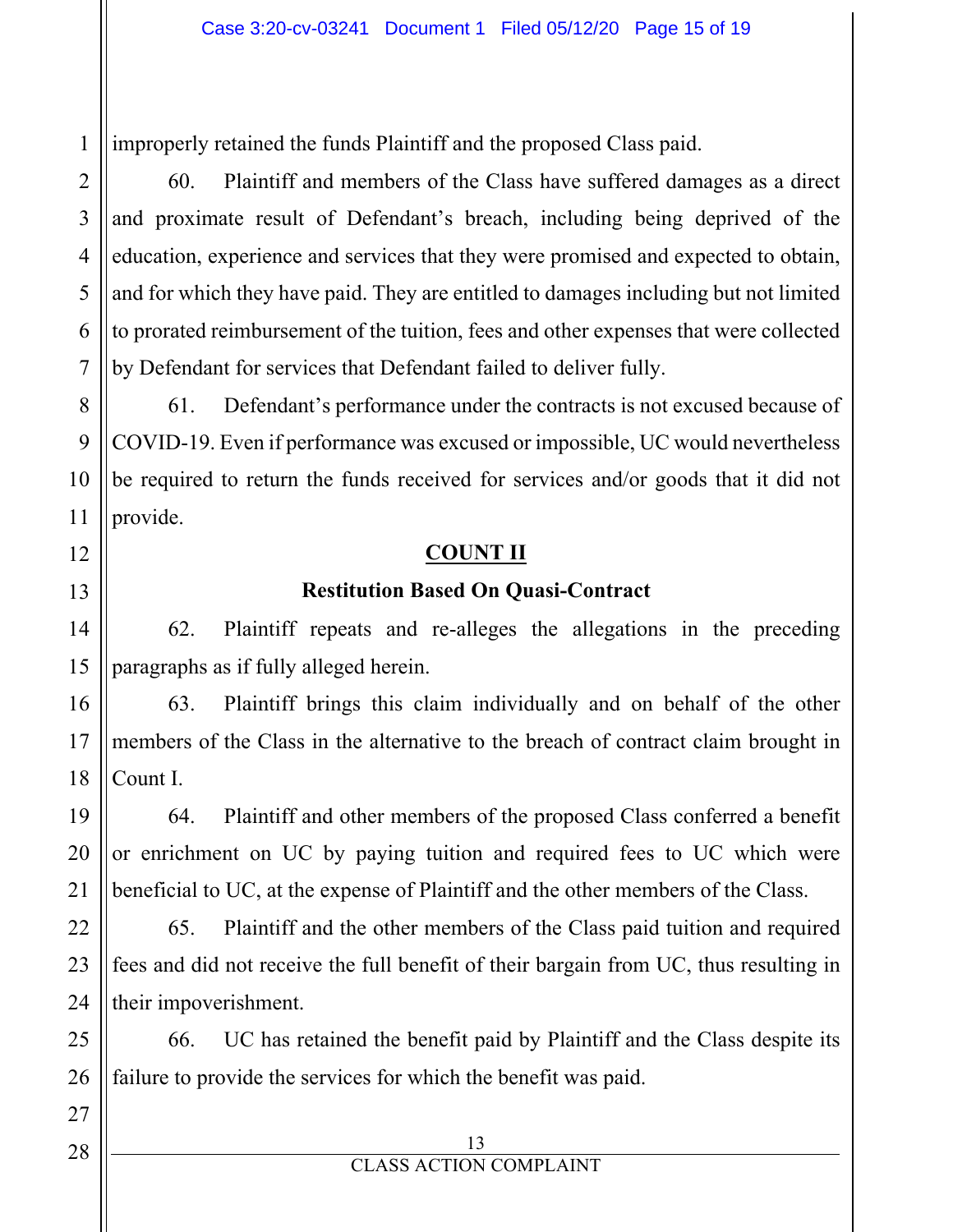1 improperly retained the funds Plaintiff and the proposed Class paid.

60. Plaintiff and members of the Class have suffered damages as a direct and proximate result of Defendant's breach, including being deprived of the education, experience and services that they were promised and expected to obtain, and for which they have paid. They are entitled to damages including but not limited to prorated reimbursement of the tuition, fees and other expenses that were collected by Defendant for services that Defendant failed to deliver fully.

61. Defendant's performance under the contracts is not excused because of COVID-19. Even if performance was excused or impossible, UC would nevertheless be required to return the funds received for services and/or goods that it did not provide.

#### **COUNT II**

#### **Restitution Based On Quasi-Contract**

62. Plaintiff repeats and re-alleges the allegations in the preceding paragraphs as if fully alleged herein.

63. Plaintiff brings this claim individually and on behalf of the other members of the Class in the alternative to the breach of contract claim brought in Count I.

64. Plaintiff and other members of the proposed Class conferred a benefit or enrichment on UC by paying tuition and required fees to UC which were beneficial to UC, at the expense of Plaintiff and the other members of the Class.

65. Plaintiff and the other members of the Class paid tuition and required fees and did not receive the full benefit of their bargain from UC, thus resulting in their impoverishment.

66. UC has retained the benefit paid by Plaintiff and the Class despite its failure to provide the services for which the benefit was paid.

#### 13 CLASS ACTION COMPLAINT

2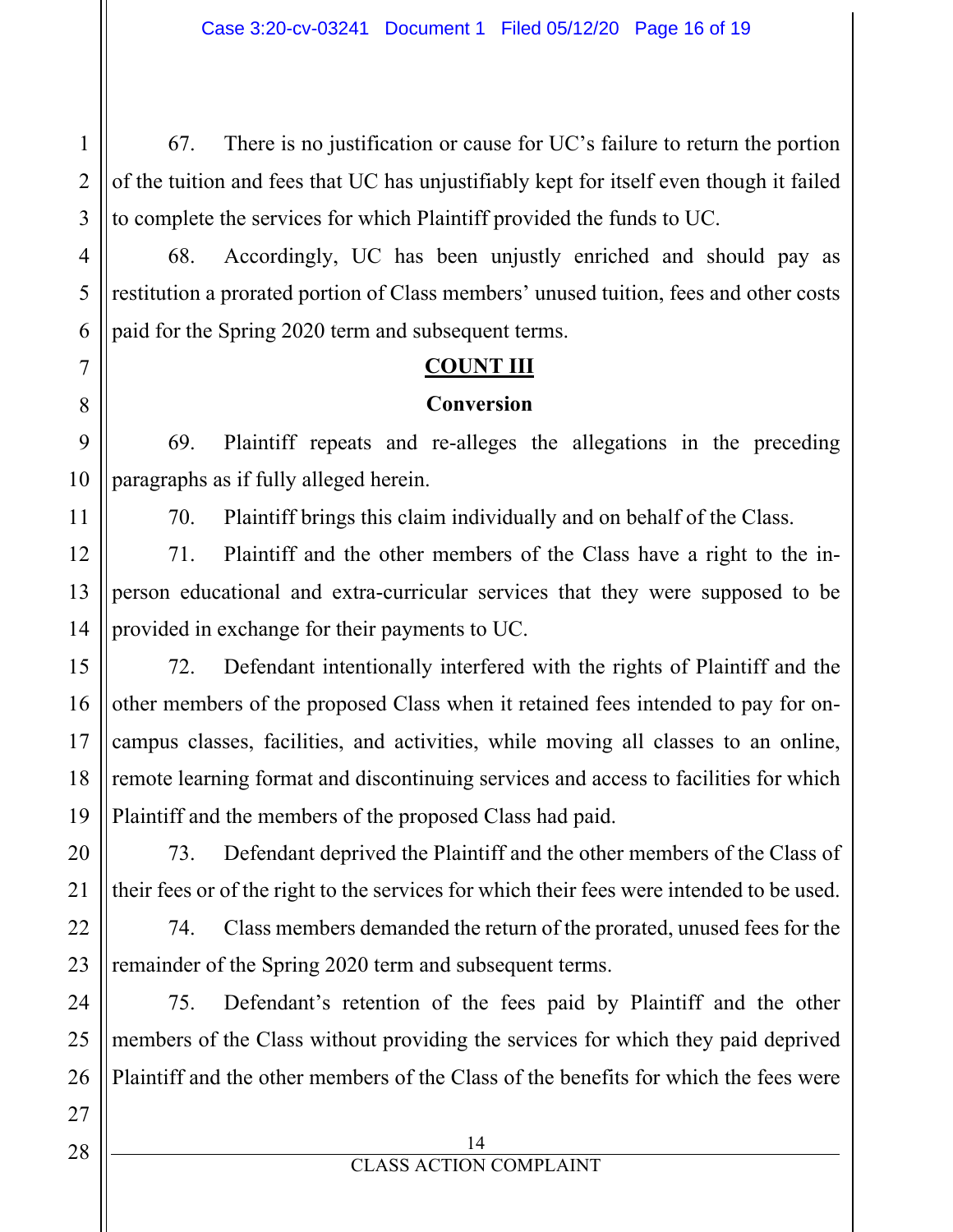67. There is no justification or cause for UC's failure to return the portion of the tuition and fees that UC has unjustifiably kept for itself even though it failed to complete the services for which Plaintiff provided the funds to UC.

68. Accordingly, UC has been unjustly enriched and should pay as restitution a prorated portion of Class members' unused tuition, fees and other costs paid for the Spring 2020 term and subsequent terms.

#### **COUNT III**

#### **Conversion**

69. Plaintiff repeats and re-alleges the allegations in the preceding paragraphs as if fully alleged herein.

70. Plaintiff brings this claim individually and on behalf of the Class.

71. Plaintiff and the other members of the Class have a right to the inperson educational and extra-curricular services that they were supposed to be provided in exchange for their payments to UC.

72. Defendant intentionally interfered with the rights of Plaintiff and the other members of the proposed Class when it retained fees intended to pay for oncampus classes, facilities, and activities, while moving all classes to an online, remote learning format and discontinuing services and access to facilities for which Plaintiff and the members of the proposed Class had paid.

73. Defendant deprived the Plaintiff and the other members of the Class of their fees or of the right to the services for which their fees were intended to be used.

74. Class members demanded the return of the prorated, unused fees for the remainder of the Spring 2020 term and subsequent terms.

75. Defendant's retention of the fees paid by Plaintiff and the other members of the Class without providing the services for which they paid deprived Plaintiff and the other members of the Class of the benefits for which the fees were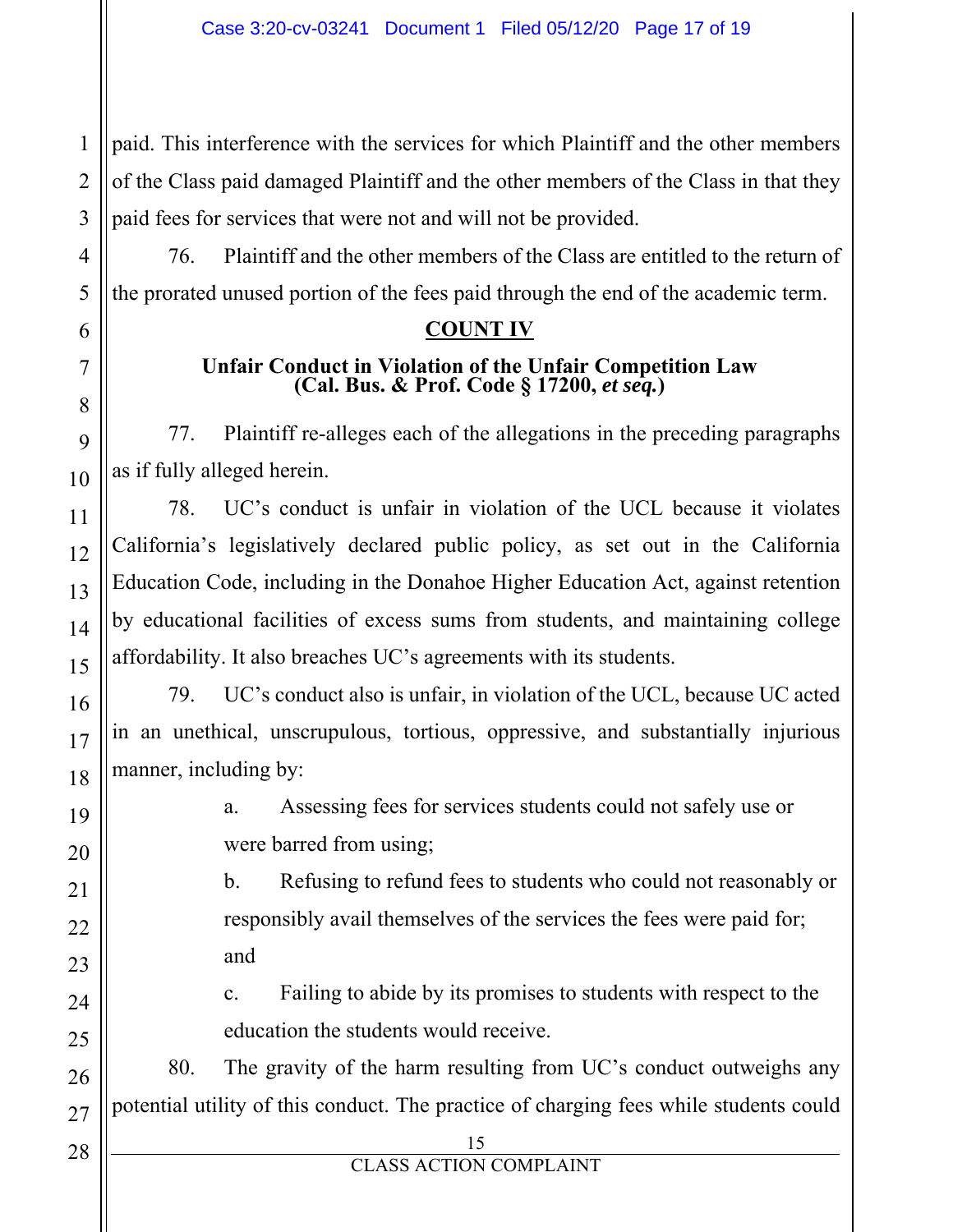1 2 3 paid. This interference with the services for which Plaintiff and the other members of the Class paid damaged Plaintiff and the other members of the Class in that they paid fees for services that were not and will not be provided.

76. Plaintiff and the other members of the Class are entitled to the return of the prorated unused portion of the fees paid through the end of the academic term.

#### **COUNT IV**

# Unfair Conduct in Violation of the Unfair Competition Law (Cal. Bus. & Prof. Code § 17200, *et seq.*)

77. Plaintiff re-alleges each of the allegations in the preceding paragraphs as if fully alleged herein.

78. UC's conduct is unfair in violation of the UCL because it violates California's legislatively declared public policy, as set out in the California Education Code, including in the Donahoe Higher Education Act, against retention by educational facilities of excess sums from students, and maintaining college affordability. It also breaches UC's agreements with its students.

79. UC's conduct also is unfair, in violation of the UCL, because UC acted in an unethical, unscrupulous, tortious, oppressive, and substantially injurious manner, including by:

> a. Assessing fees for services students could not safely use or were barred from using;

b. Refusing to refund fees to students who could not reasonably or responsibly avail themselves of the services the fees were paid for; and

c. Failing to abide by its promises to students with respect to the education the students would receive.

80. The gravity of the harm resulting from UC's conduct outweighs any potential utility of this conduct. The practice of charging fees while students could

15

4

5

6

7

8

9

10

11

12

13

14

15

16

17

18

19

20

21

22

23

24

25

26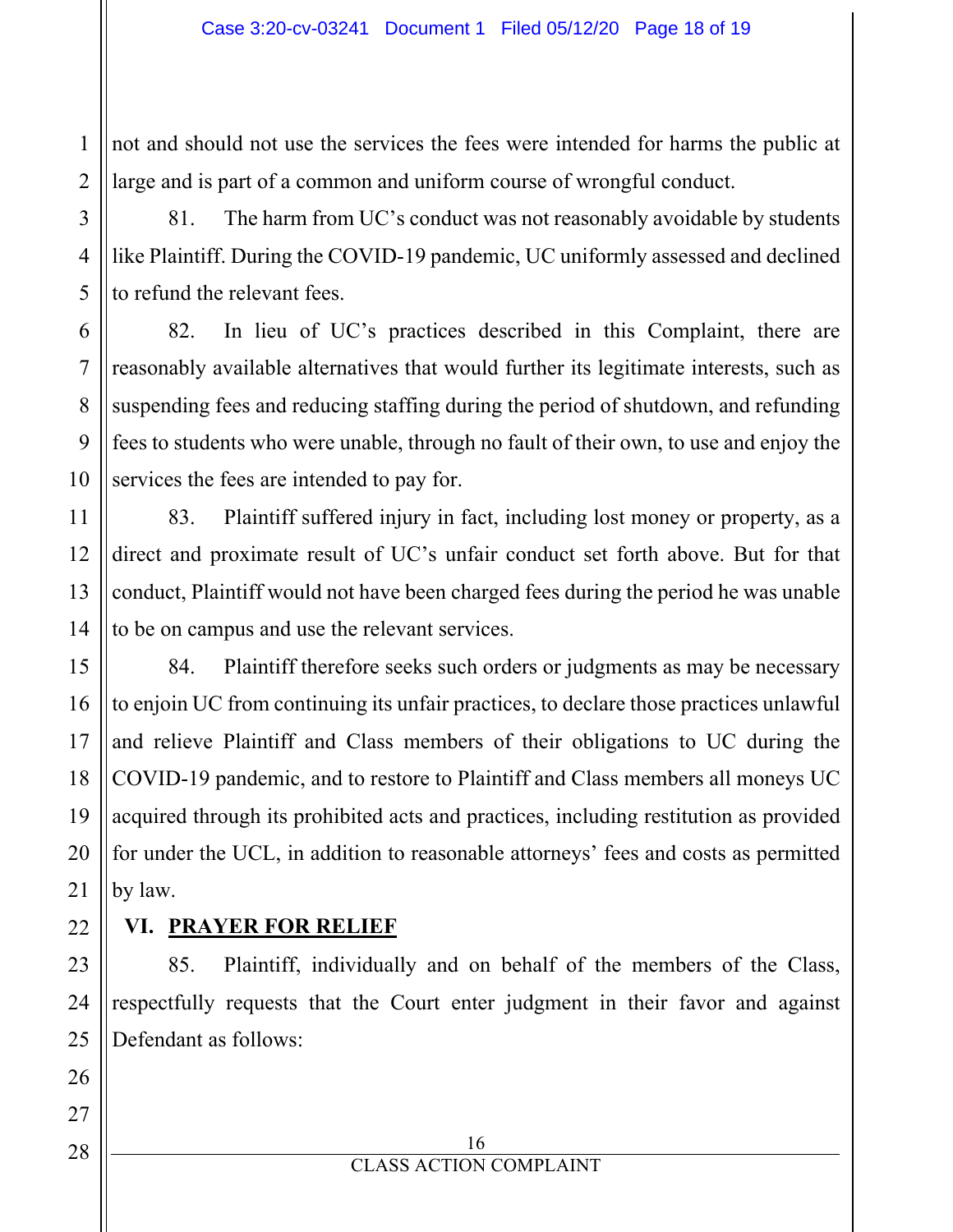1 not and should not use the services the fees were intended for harms the public at large and is part of a common and uniform course of wrongful conduct.

81. The harm from UC's conduct was not reasonably avoidable by students like Plaintiff. During the COVID-19 pandemic, UC uniformly assessed and declined to refund the relevant fees.

82. In lieu of UC's practices described in this Complaint, there are reasonably available alternatives that would further its legitimate interests, such as suspending fees and reducing staffing during the period of shutdown, and refunding fees to students who were unable, through no fault of their own, to use and enjoy the services the fees are intended to pay for.

83. Plaintiff suffered injury in fact, including lost money or property, as a direct and proximate result of UC's unfair conduct set forth above. But for that conduct, Plaintiff would not have been charged fees during the period he was unable to be on campus and use the relevant services.

84. Plaintiff therefore seeks such orders or judgments as may be necessary to enjoin UC from continuing its unfair practices, to declare those practices unlawful and relieve Plaintiff and Class members of their obligations to UC during the COVID-19 pandemic, and to restore to Plaintiff and Class members all moneys UC acquired through its prohibited acts and practices, including restitution as provided for under the UCL, in addition to reasonable attorneys' fees and costs as permitted by law.

#### **VI. PRAYER FOR RELIEF**

85. Plaintiff, individually and on behalf of the members of the Class, respectfully requests that the Court enter judgment in their favor and against Defendant as follows: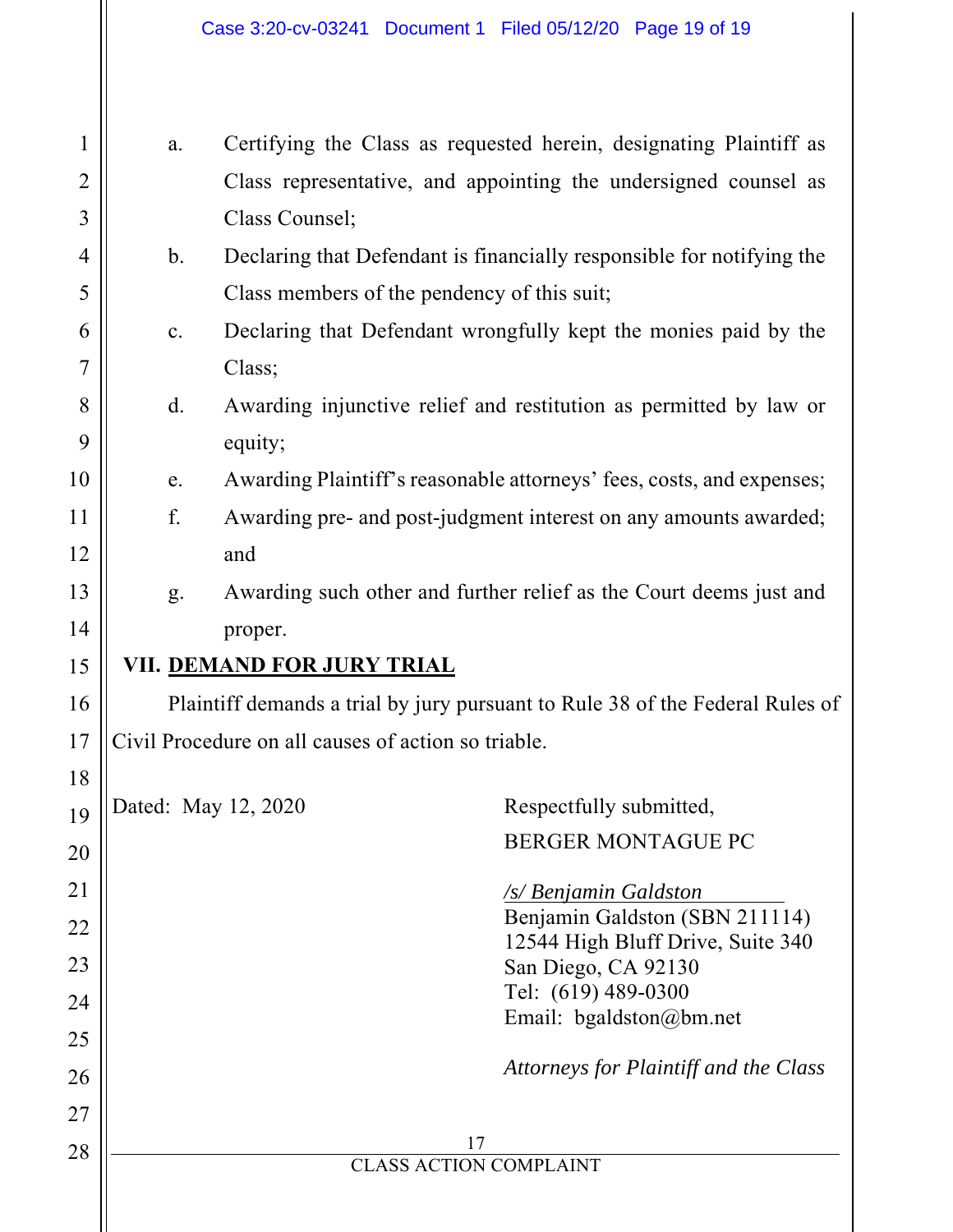| $\mathbf{1}$   | a.             |                                                                               | Certifying the Class as requested herein, designating Plaintiff as    |  |  |  |  |  |
|----------------|----------------|-------------------------------------------------------------------------------|-----------------------------------------------------------------------|--|--|--|--|--|
| $\overline{2}$ |                |                                                                               | Class representative, and appointing the undersigned counsel as       |  |  |  |  |  |
| 3              |                | Class Counsel;                                                                |                                                                       |  |  |  |  |  |
| 4              | $\mathbf b$ .  |                                                                               | Declaring that Defendant is financially responsible for notifying the |  |  |  |  |  |
| 5              |                | Class members of the pendency of this suit;                                   |                                                                       |  |  |  |  |  |
| 6              | $\mathbf{c}$ . | Declaring that Defendant wrongfully kept the monies paid by the               |                                                                       |  |  |  |  |  |
| 7              |                | Class;                                                                        |                                                                       |  |  |  |  |  |
| 8<br>9         | $\mathbf{d}$ . | Awarding injunctive relief and restitution as permitted by law or<br>equity;  |                                                                       |  |  |  |  |  |
| 10             | e.             |                                                                               | Awarding Plaintiff's reasonable attorneys' fees, costs, and expenses; |  |  |  |  |  |
| 11             | f.             | Awarding pre- and post-judgment interest on any amounts awarded;              |                                                                       |  |  |  |  |  |
| 12             |                | and                                                                           |                                                                       |  |  |  |  |  |
| 13             | g.             |                                                                               | Awarding such other and further relief as the Court deems just and    |  |  |  |  |  |
| 14             |                | proper.                                                                       |                                                                       |  |  |  |  |  |
| 15             |                | VII. DEMAND FOR JURY TRIAL                                                    |                                                                       |  |  |  |  |  |
| 16             |                | Plaintiff demands a trial by jury pursuant to Rule 38 of the Federal Rules of |                                                                       |  |  |  |  |  |
| 17             |                | Civil Procedure on all causes of action so triable.                           |                                                                       |  |  |  |  |  |
| 18             |                | Dated: May 12, 2020                                                           | Respectfully submitted,                                               |  |  |  |  |  |
| 19             |                |                                                                               | <b>BERGER MONTAGUE PC</b>                                             |  |  |  |  |  |
| 20             |                |                                                                               |                                                                       |  |  |  |  |  |
| 21             |                |                                                                               | <b>/s/ Benjamin Galdston</b><br>Benjamin Galdston (SBN 211114)        |  |  |  |  |  |
| 22             |                |                                                                               | 12544 High Bluff Drive, Suite 340                                     |  |  |  |  |  |
| 23             |                |                                                                               | San Diego, CA 92130<br>Tel: (619) 489-0300                            |  |  |  |  |  |
| 24             |                |                                                                               | Email: bgaldston@bm.net                                               |  |  |  |  |  |
| 25             |                |                                                                               | Attorneys for Plaintiff and the Class                                 |  |  |  |  |  |
| 26             |                |                                                                               |                                                                       |  |  |  |  |  |
| 27             |                | 17                                                                            |                                                                       |  |  |  |  |  |
| 28             |                | <b>CLASS ACTION COMPLAINT</b>                                                 |                                                                       |  |  |  |  |  |
|                |                |                                                                               |                                                                       |  |  |  |  |  |
|                |                |                                                                               |                                                                       |  |  |  |  |  |